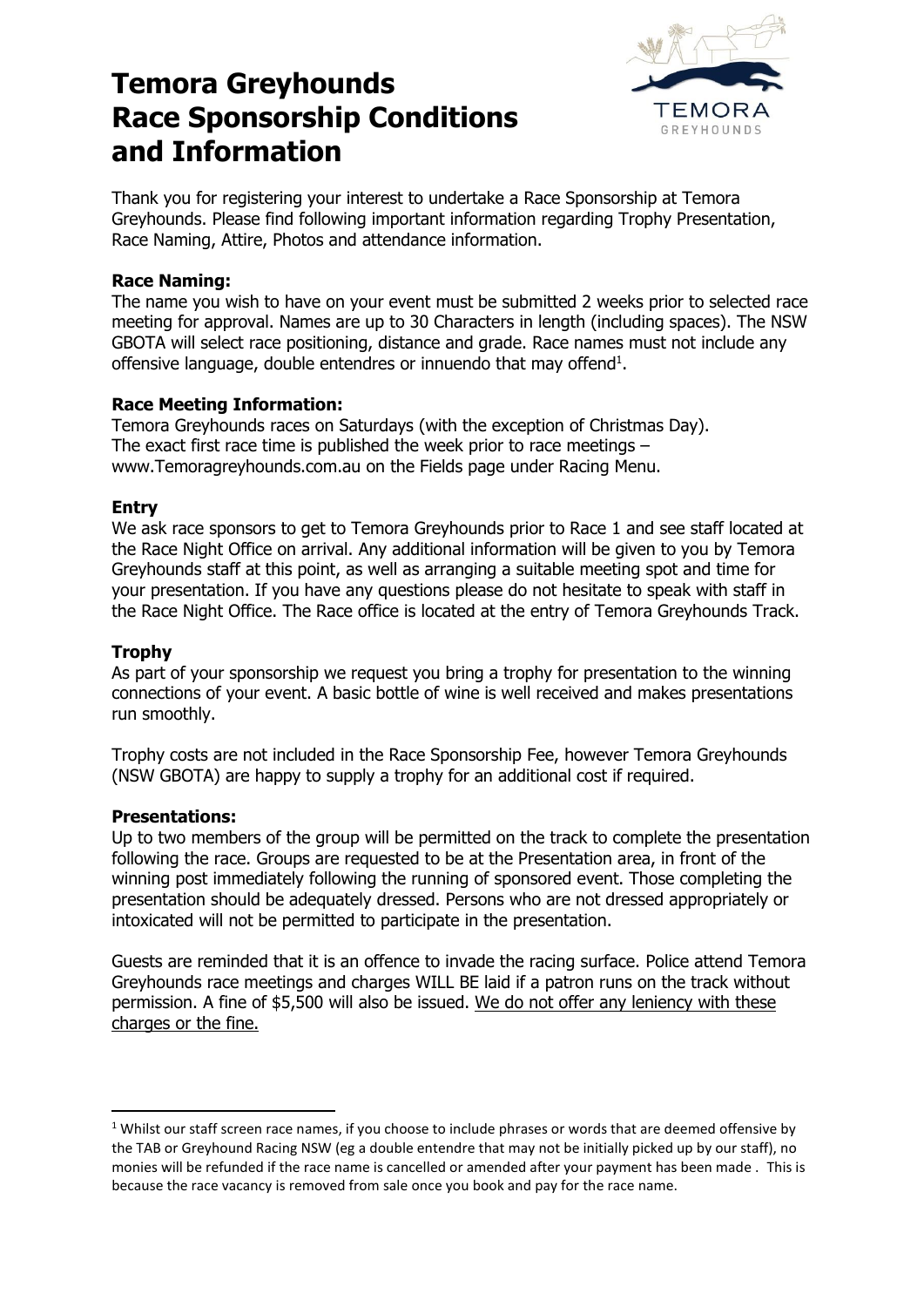# **Temora Greyhounds Race Sponsorship Conditions and Information**



Thank you for registering your interest to undertake a Race Sponsorship at Temora Greyhounds. Please find following important information regarding Trophy Presentation, Race Naming, Attire, Photos and attendance information.

# **Race Naming:**

The name you wish to have on your event must be submitted 2 weeks prior to selected race meeting for approval. Names are up to 30 Characters in length (including spaces). The NSW GBOTA will select race positioning, distance and grade. Race names must not include any offensive language, double entendres or innuendo that may offend $<sup>1</sup>$ .</sup>

## **Race Meeting Information:**

Temora Greyhounds races on Saturdays (with the exception of Christmas Day). The exact first race time is published the week prior to race meetings – www.Temoragreyhounds.com.au on the Fields page under Racing Menu.

#### **Entry**

We ask race sponsors to get to Temora Greyhounds prior to Race 1 and see staff located at the Race Night Office on arrival. Any additional information will be given to you by Temora Greyhounds staff at this point, as well as arranging a suitable meeting spot and time for your presentation. If you have any questions please do not hesitate to speak with staff in the Race Night Office. The Race office is located at the entry of Temora Greyhounds Track.

# **Trophy**

As part of your sponsorship we request you bring a trophy for presentation to the winning connections of your event. A basic bottle of wine is well received and makes presentations run smoothly.

Trophy costs are not included in the Race Sponsorship Fee, however Temora Greyhounds (NSW GBOTA) are happy to supply a trophy for an additional cost if required.

#### **Presentations:**

**.** 

Up to two members of the group will be permitted on the track to complete the presentation following the race. Groups are requested to be at the Presentation area, in front of the winning post immediately following the running of sponsored event. Those completing the presentation should be adequately dressed. Persons who are not dressed appropriately or intoxicated will not be permitted to participate in the presentation.

Guests are reminded that it is an offence to invade the racing surface. Police attend Temora Greyhounds race meetings and charges WILL BE laid if a patron runs on the track without permission. A fine of \$5,500 will also be issued. We do not offer any leniency with these charges or the fine.

 $1$  Whilst our staff screen race names, if you choose to include phrases or words that are deemed offensive by the TAB or Greyhound Racing NSW (eg a double entendre that may not be initially picked up by our staff), no monies will be refunded if the race name is cancelled or amended after your payment has been made . This is because the race vacancy is removed from sale once you book and pay for the race name.